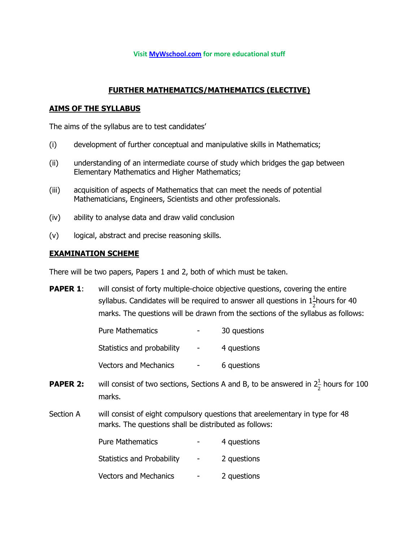#### **Visit [MyWschool.com](https://www.mywschool.com/) for more educational stuff**

### **FURTHER MATHEMATICS/MATHEMATICS (ELECTIVE)**

### **AIMS OF THE SYLLABUS**

The aims of the syllabus are to test candidates'

- (i) development of further conceptual and manipulative skills in Mathematics;
- (ii) understanding of an intermediate course of study which bridges the gap between Elementary Mathematics and Higher Mathematics;
- (iii) acquisition of aspects of Mathematics that can meet the needs of potential Mathematicians, Engineers, Scientists and other professionals.
- (iv) ability to analyse data and draw valid conclusion
- (v) logical, abstract and precise reasoning skills.

### **EXAMINATION SCHEME**

There will be two papers, Papers 1 and 2, both of which must be taken.

**PAPER 1:** will consist of forty multiple-choice objective questions, covering the entire syllabus. Candidates will be required to answer all questions in  $1\frac{1}{2}$ hours for 40 marks. The questions will be drawn from the sections of the syllabus as follows:

| <b>Pure Mathematics</b>      | 30 questions |
|------------------------------|--------------|
| Statistics and probability   | 4 questions  |
| <b>Vectors and Mechanics</b> | 6 questions  |

- **PAPER 2:** will consist of two sections, Sections A and B, to be answered in  $2\frac{1}{2}$  hours for 100 marks.
- Section A will consist of eight compulsory questions that areelementary in type for 48 marks. The questions shall be distributed as follows:

| <b>Pure Mathematics</b>           | 4 questions |
|-----------------------------------|-------------|
| <b>Statistics and Probability</b> | 2 questions |
| <b>Vectors and Mechanics</b>      | 2 questions |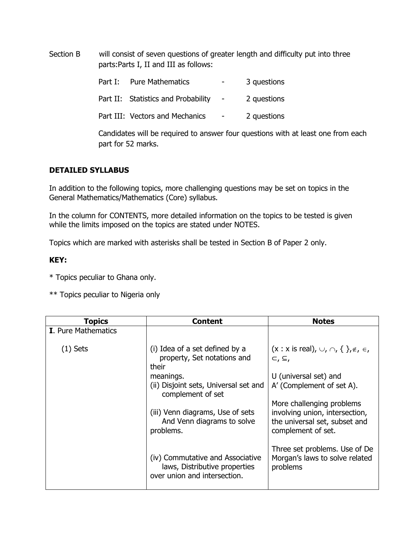Section B will consist of seven questions of greater length and difficulty put into three parts:Parts I, II and III as follows:

| Part I: Pure Mathematics            | $\sim$                   | 3 questions |
|-------------------------------------|--------------------------|-------------|
| Part II: Statistics and Probability | $\overline{\phantom{0}}$ | 2 questions |

Part III: Vectors and Mechanics - 2 questions

Candidates will be required to answer four questions with at least one from each part for 52 marks.

## **DETAILED SYLLABUS**

In addition to the following topics, more challenging questions may be set on topics in the General Mathematics/Mathematics (Core) syllabus.

In the column for CONTENTS, more detailed information on the topics to be tested is given while the limits imposed on the topics are stated under NOTES.

Topics which are marked with asterisks shall be tested in Section B of Paper 2 only.

### **KEY:**

\* Topics peculiar to Ghana only.

\*\* Topics peculiar to Nigeria only

| <b>Topics</b>              | Content                                                                                           | <b>Notes</b>                                                                                                       |
|----------------------------|---------------------------------------------------------------------------------------------------|--------------------------------------------------------------------------------------------------------------------|
| <b>I.</b> Pure Mathematics |                                                                                                   |                                                                                                                    |
| $(1)$ Sets                 | (i) Idea of a set defined by a<br>property, Set notations and<br>their                            | $(x : x \text{ is real}), \cup, \cap, \{\}$ , $\notin, \in$<br>$\subset, \subseteq,$                               |
|                            | meanings.                                                                                         | U (universal set) and                                                                                              |
|                            | (ii) Disjoint sets, Universal set and<br>complement of set                                        | A' (Complement of set A).                                                                                          |
|                            | (iii) Venn diagrams, Use of sets<br>And Venn diagrams to solve<br>problems.                       | More challenging problems<br>involving union, intersection,<br>the universal set, subset and<br>complement of set. |
|                            | (iv) Commutative and Associative<br>laws, Distributive properties<br>over union and intersection. | Three set problems. Use of De<br>Morgan's laws to solve related<br>problems                                        |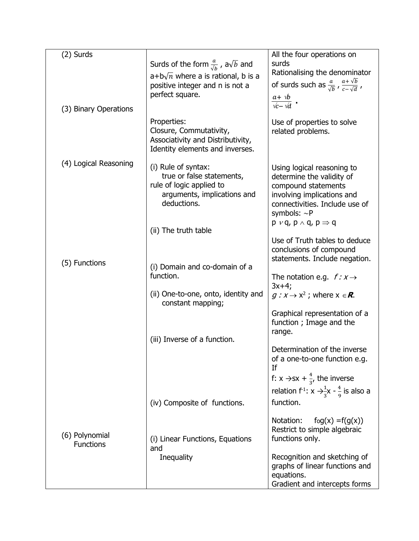| (2) Surds                          |                                                                                                                            | All the four operations on                                                                                                                                                                                           |
|------------------------------------|----------------------------------------------------------------------------------------------------------------------------|----------------------------------------------------------------------------------------------------------------------------------------------------------------------------------------------------------------------|
|                                    | Surds of the form $\frac{a}{\sqrt{h}}$ , a $\sqrt{b}$ and                                                                  | surds                                                                                                                                                                                                                |
|                                    |                                                                                                                            | Rationalising the denominator                                                                                                                                                                                        |
|                                    | $a+b\sqrt{n}$ where a is rational, b is a<br>positive integer and n is not a                                               | of surds such as $\frac{a}{\sqrt{b}}$ , $\frac{a+\sqrt{b}}{c-\sqrt{d}}$ ,                                                                                                                                            |
|                                    | perfect square.                                                                                                            |                                                                                                                                                                                                                      |
| (3) Binary Operations              |                                                                                                                            | $\frac{a + \nu b}{\nu c - \nu d}$ .                                                                                                                                                                                  |
|                                    | Properties:<br>Closure, Commutativity,<br>Associativity and Distributivity,<br>Identity elements and inverses.             | Use of properties to solve<br>related problems.                                                                                                                                                                      |
| (4) Logical Reasoning              | (i) Rule of syntax:<br>true or false statements,<br>rule of logic applied to<br>arguments, implications and<br>deductions. | Using logical reasoning to<br>determine the validity of<br>compound statements<br>involving implications and<br>connectivities. Include use of<br>symbols: $\sim$ P<br>$p \vee q$ , $p \wedge q$ , $p \Rightarrow q$ |
|                                    | (ii) The truth table                                                                                                       |                                                                                                                                                                                                                      |
|                                    |                                                                                                                            | Use of Truth tables to deduce<br>conclusions of compound<br>statements. Include negation.                                                                                                                            |
| (5) Functions                      | (i) Domain and co-domain of a<br>function.                                                                                 | The notation e.g. $f: x \rightarrow$<br>$3x+4;$                                                                                                                                                                      |
|                                    | (ii) One-to-one, onto, identity and<br>constant mapping;                                                                   | $q: x \rightarrow x^2$ ; where $x \in \mathbb{R}$ .                                                                                                                                                                  |
|                                    |                                                                                                                            | Graphical representation of a<br>function; Image and the<br>range.                                                                                                                                                   |
|                                    | (iii) Inverse of a function.                                                                                               |                                                                                                                                                                                                                      |
|                                    |                                                                                                                            | Determination of the inverse<br>of a one-to-one function e.g.<br>Τf                                                                                                                                                  |
|                                    |                                                                                                                            | f: $x \rightarrow sx + \frac{4}{3}$ , the inverse                                                                                                                                                                    |
|                                    |                                                                                                                            | relation $f^{-1}: x \rightarrow \frac{1}{3}x - \frac{4}{9}$ is also a                                                                                                                                                |
|                                    | (iv) Composite of functions.                                                                                               | function.                                                                                                                                                                                                            |
| (6) Polynomial<br><b>Functions</b> | (i) Linear Functions, Equations                                                                                            | $f \circ g(x) = f(g(x))$<br>Notation:<br>Restrict to simple algebraic<br>functions only.                                                                                                                             |
|                                    | and<br>Inequality                                                                                                          | Recognition and sketching of<br>graphs of linear functions and<br>equations.<br>Gradient and intercepts forms                                                                                                        |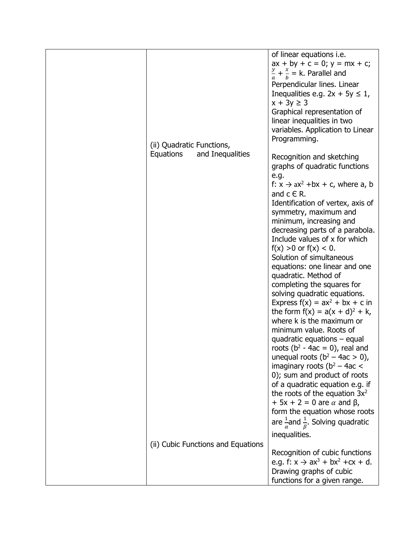| (ii) Quadratic Functions,                                           | of linear equations i.e.<br>$ax + by + c = 0$ ; $y = mx + c$ ;<br>$\frac{y}{a} + \frac{x}{b} = k$ . Parallel and<br>Perpendicular lines. Linear<br>Inequalities e.g. $2x + 5y \le 1$ ,<br>$x + 3y \ge 3$<br>Graphical representation of<br>linear inequalities in two<br>variables. Application to Linear<br>Programming.                                                                                                                                                                                                                                                                                                                                                                                                                                                                                                                                                                                                                                                                                                                         |
|---------------------------------------------------------------------|---------------------------------------------------------------------------------------------------------------------------------------------------------------------------------------------------------------------------------------------------------------------------------------------------------------------------------------------------------------------------------------------------------------------------------------------------------------------------------------------------------------------------------------------------------------------------------------------------------------------------------------------------------------------------------------------------------------------------------------------------------------------------------------------------------------------------------------------------------------------------------------------------------------------------------------------------------------------------------------------------------------------------------------------------|
| Equations<br>and Inequalities<br>(ii) Cubic Functions and Equations | Recognition and sketching<br>graphs of quadratic functions<br>e.g.<br>f: $x \rightarrow ax^2$ +bx + c, where a, b<br>and $c \in R$ .<br>Identification of vertex, axis of<br>symmetry, maximum and<br>minimum, increasing and<br>decreasing parts of a parabola.<br>Include values of x for which<br>$f(x) > 0$ or $f(x) < 0$ .<br>Solution of simultaneous<br>equations: one linear and one<br>quadratic. Method of<br>completing the squares for<br>solving quadratic equations.<br>Express $f(x) = ax^2 + bx + c$ in<br>the form $f(x) = a(x + d)^{2} + k$ ,<br>where k is the maximum or<br>minimum value. Roots of<br>quadratic equations $-$ equal<br>roots ( $b^2 - 4ac = 0$ ), real and<br>unequal roots $(b^2 - 4ac > 0)$ ,<br>imaginary roots ( $b^2 - 4ac <$<br>0); sum and product of roots<br>of a quadratic equation e.g. if<br>the roots of the equation $3x^2$<br>$+$ 5x + 2 = 0 are $\alpha$ and $\beta$ ,<br>form the equation whose roots<br>are $\frac{1}{\alpha}$ and $\frac{1}{\beta}$ . Solving quadratic<br>inequalities. |
|                                                                     | Recognition of cubic functions<br>e.g. $f: x \to ax^3 + bx^2 + cx + d$ .<br>Drawing graphs of cubic<br>functions for a given range.                                                                                                                                                                                                                                                                                                                                                                                                                                                                                                                                                                                                                                                                                                                                                                                                                                                                                                               |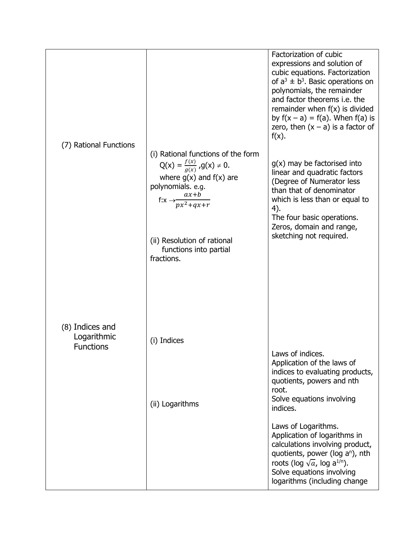| (7) Rational Functions         |                                                                                                                                                    | Factorization of cubic<br>expressions and solution of<br>cubic equations. Factorization<br>of $a^3 \pm b^3$ . Basic operations on<br>polynomials, the remainder<br>and factor theorems i.e. the<br>remainder when $f(x)$ is divided<br>by $f(x - a) = f(a)$ . When $f(a)$ is<br>zero, then $(x - a)$ is a factor of<br>$f(x)$ . |
|--------------------------------|----------------------------------------------------------------------------------------------------------------------------------------------------|---------------------------------------------------------------------------------------------------------------------------------------------------------------------------------------------------------------------------------------------------------------------------------------------------------------------------------|
|                                | (i) Rational functions of the form                                                                                                                 |                                                                                                                                                                                                                                                                                                                                 |
|                                | $Q(x) = \frac{f(x)}{g(x)}$ , $g(x) \neq 0$ .<br>where $g(x)$ and $f(x)$ are<br>polynomials. e.g.<br>$ax + b$<br>f: $x \rightarrow p x^2 + q x + r$ | $g(x)$ may be factorised into<br>linear and quadratic factors<br>(Degree of Numerator less<br>than that of denominator<br>which is less than or equal to                                                                                                                                                                        |
|                                | (ii) Resolution of rational<br>functions into partial<br>fractions.                                                                                | 4).<br>The four basic operations.<br>Zeros, domain and range,<br>sketching not required.                                                                                                                                                                                                                                        |
| (8) Indices and<br>Logarithmic |                                                                                                                                                    |                                                                                                                                                                                                                                                                                                                                 |
| <b>Functions</b>               | (i) Indices                                                                                                                                        |                                                                                                                                                                                                                                                                                                                                 |
|                                | (ii) Logarithms                                                                                                                                    | Laws of indices.<br>Application of the laws of<br>indices to evaluating products,<br>quotients, powers and nth<br>root.<br>Solve equations involving<br>indices.                                                                                                                                                                |
|                                |                                                                                                                                                    | Laws of Logarithms.<br>Application of logarithms in<br>calculations involving product,<br>quotients, power (log a <sup>n</sup> ), nth<br>roots (log $\sqrt{a}$ , log a <sup>1/n</sup> ).<br>Solve equations involving<br>logarithms (including change                                                                           |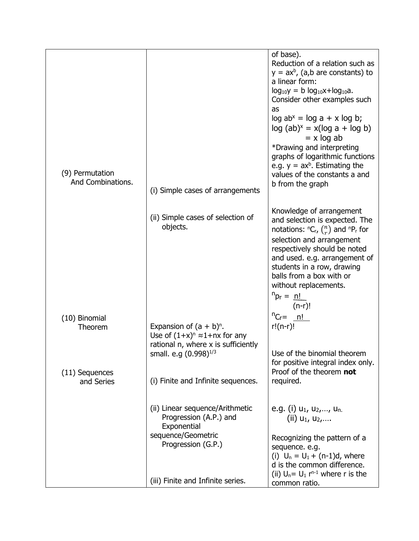| (i) Simple cases of arrangements                                                                                     | of base).<br>Reduction of a relation such as<br>$y = ax^b$ , (a,b are constants) to<br>a linear form:<br>$log_{10}y = b log_{10}x + log_{10}a$ .<br>Consider other examples such<br>as<br>$log ab^x = log a + x log b;$<br>$log (ab)^x = x(log a + log b)$<br>$= x \log ab$<br>*Drawing and interpreting<br>graphs of logarithmic functions<br>e.g. $y = ax^b$ . Estimating the<br>values of the constants a and<br>b from the graph |
|----------------------------------------------------------------------------------------------------------------------|--------------------------------------------------------------------------------------------------------------------------------------------------------------------------------------------------------------------------------------------------------------------------------------------------------------------------------------------------------------------------------------------------------------------------------------|
| (ii) Simple cases of selection of<br>objects.                                                                        | Knowledge of arrangement<br>and selection is expected. The<br>notations: ${}^{n}C_{r}$ , $\binom{n}{r}$ and ${}^{n}P_{r}$ for<br>selection and arrangement<br>respectively should be noted<br>and used. e.g. arrangement of<br>students in a row, drawing<br>balls from a box with or<br>without replacements.<br>$n_{\text{pr}} = \underline{n!}$<br>$(n-r)!$                                                                       |
| Expansion of $(a + b)^n$ .<br>Use of $(1+x)^n \approx 1 + nx$ for any<br>rational n, where x is sufficiently         | ${}^{n}C_{r}$ n!<br>$r!(n-r)!$                                                                                                                                                                                                                                                                                                                                                                                                       |
| (i) Finite and Infinite sequences.                                                                                   | Use of the binomial theorem<br>for positive integral index only.<br>Proof of the theorem not<br>required.                                                                                                                                                                                                                                                                                                                            |
| (ii) Linear sequence/Arithmetic<br>Progression (A.P.) and<br>Exponential<br>sequence/Geometric<br>Progression (G.P.) | e.g. (i) $u_1$ , $u_2$ ,, $u_n$ .<br>(ii) $u_1, u_2, \ldots$<br>Recognizing the pattern of a<br>sequence. e.g.<br>(i) $U_n = U_1 + (n-1)d$ , where<br>d is the common difference.<br>(ii) $U_n = U_1 r^{n-1}$ where r is the<br>common ratio.                                                                                                                                                                                        |
|                                                                                                                      | small. e.g (0.998) <sup>1/3</sup><br>(iii) Finite and Infinite series.                                                                                                                                                                                                                                                                                                                                                               |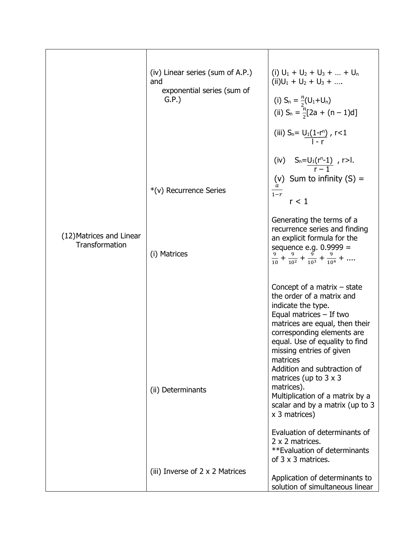|                                                   | (iv) Linear series (sum of A.P.)<br>and<br>exponential series (sum of<br>G.P. | (i) $U_1 + U_2 + U_3 +  + U_n$<br>$(ii)U_1 + U_2 + U_3 + $<br>(i) $S_n = \frac{n}{2}(U_1 + U_n)$<br>(ii) $S_n = \frac{n}{2}[2a + (n-1)d]$                                                                                                                                                                                                                               |
|---------------------------------------------------|-------------------------------------------------------------------------------|-------------------------------------------------------------------------------------------------------------------------------------------------------------------------------------------------------------------------------------------------------------------------------------------------------------------------------------------------------------------------|
|                                                   | *(v) Recurrence Series                                                        | (iii) $S_n = U_1(1-r^n)$ , $r < 1$<br>(iv) $S_n = \underbrace{U_1(r^n-1)}_{r-1}$ , r>l.<br>(v) Sum to infinity $(S)$ =<br>$1-r$<br>r < 1                                                                                                                                                                                                                                |
| (12) Matrices and Linear<br><b>Transformation</b> | (i) Matrices                                                                  | Generating the terms of a<br>recurrence series and finding<br>an explicit formula for the<br>sequence e.g. $0.9999 =$<br>$\frac{9}{10} + \frac{9}{10^2} + \frac{9}{10^3} + \frac{9}{10^4} + \dots$                                                                                                                                                                      |
|                                                   | (ii) Determinants                                                             | Concept of a matrix $-$ state<br>the order of a matrix and<br>indicate the type.<br>Equal matrices $-$ If two<br>matrices are equal, then their<br>corresponding elements are<br>equal. Use of equality to find<br>missing entries of given<br>matrices<br>Addition and subtraction of<br>matrices (up to $3 \times 3$<br>matrices).<br>Multiplication of a matrix by a |
|                                                   |                                                                               | scalar and by a matrix (up to 3<br>x 3 matrices)<br>Evaluation of determinants of<br>2 x 2 matrices.<br>**Evaluation of determinants<br>of 3 x 3 matrices.                                                                                                                                                                                                              |
|                                                   | (iii) Inverse of $2 \times 2$ Matrices                                        | Application of determinants to<br>solution of simultaneous linear                                                                                                                                                                                                                                                                                                       |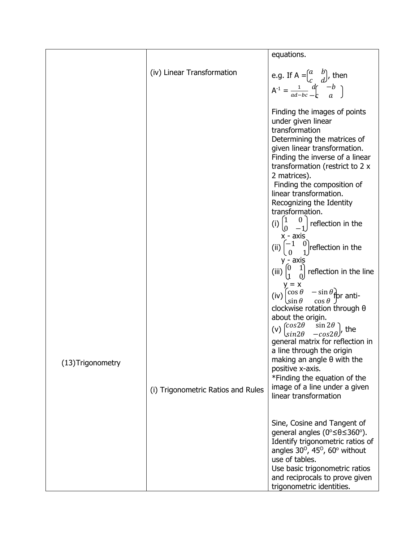|                   |                                    | equations.                                                                                                                                                                                                                                                                                                                                                                                                                                                                                                                                                                                               |
|-------------------|------------------------------------|----------------------------------------------------------------------------------------------------------------------------------------------------------------------------------------------------------------------------------------------------------------------------------------------------------------------------------------------------------------------------------------------------------------------------------------------------------------------------------------------------------------------------------------------------------------------------------------------------------|
|                   | (iv) Linear Transformation         | e.g. If $A = \begin{pmatrix} a & b \\ c & d \end{pmatrix}$ , then<br>$A^{-1} = \frac{1}{ad-bc} \left[ \frac{d}{a} \right]^{-1} = \frac{1}{ad-bc}$                                                                                                                                                                                                                                                                                                                                                                                                                                                        |
|                   |                                    | Finding the images of points<br>under given linear<br>transformation<br>Determining the matrices of<br>given linear transformation.<br>Finding the inverse of a linear<br>transformation (restrict to 2 x<br>2 matrices).<br>Finding the composition of<br>linear transformation.<br>Recognizing the Identity<br>transformation.<br>(i) $\binom{1}{0}$<br>$\begin{bmatrix} 0 \\ -1 \end{bmatrix}$ reflection in the<br>$x - axis$<br>(ii) $\begin{pmatrix} -1 & 0 \\ 0 & 1 \end{pmatrix}$ reflection in the<br>$y - axis$<br>(iii) $\begin{pmatrix} 0 & 1 \\ 1 & 0 \end{pmatrix}$ reflection in the line |
| (13) Trigonometry | (i) Trigonometric Ratios and Rules | $y = x$<br>$\begin{cases} \cos \theta & -\sin \theta \\ \sin \theta & \cos \theta \end{cases}$ for anti-<br>(iv)<br>clockwise rotation through $\theta$<br>about the origin.<br>(v) $\begin{pmatrix} \cos 2\theta & \sin 2\theta \\ \sin 2\theta & -\cos 2\theta \end{pmatrix}$ , the<br>general matrix for reflection in<br>a line through the origin<br>making an angle $\theta$ with the<br>positive x-axis.<br>*Finding the equation of the<br>image of a line under a given<br>linear transformation                                                                                                |
|                   |                                    | Sine, Cosine and Tangent of<br>general angles ( $0^{\circ} \le \theta \le 360^{\circ}$ ).<br>Identify trigonometric ratios of<br>angles $30^\circ$ , $45^\circ$ , $60^\circ$ without<br>use of tables.<br>Use basic trigonometric ratios<br>and reciprocals to prove given<br>trigonometric identities.                                                                                                                                                                                                                                                                                                  |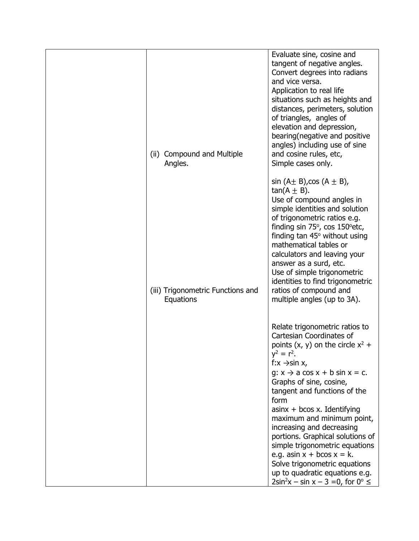| (ii) Compound and Multiple<br>Angles.          | Evaluate sine, cosine and<br>tangent of negative angles.<br>Convert degrees into radians<br>and vice versa.<br>Application to real life<br>situations such as heights and<br>distances, perimeters, solution<br>of triangles, angles of<br>elevation and depression,<br>bearing (negative and positive<br>angles) including use of sine<br>and cosine rules, etc,<br>Simple cases only.                                                                                                                                                                                                        |
|------------------------------------------------|------------------------------------------------------------------------------------------------------------------------------------------------------------------------------------------------------------------------------------------------------------------------------------------------------------------------------------------------------------------------------------------------------------------------------------------------------------------------------------------------------------------------------------------------------------------------------------------------|
| (iii) Trigonometric Functions and<br>Equations | $sin (A \pm B)$ , cos $(A \pm B)$ ,<br>$tan(A \pm B)$ .<br>Use of compound angles in<br>simple identities and solution<br>of trigonometric ratios e.g.<br>finding sin 75°, cos 150° etc,<br>finding tan $45^\circ$ without using<br>mathematical tables or<br>calculators and leaving your<br>answer as a surd, etc.<br>Use of simple trigonometric<br>identities to find trigonometric<br>ratios of compound and<br>multiple angles (up to 3A).                                                                                                                                               |
|                                                | Relate trigonometric ratios to<br>Cartesian Coordinates of<br>points $(x, y)$ on the circle $x^2$ +<br>$y^2 = r^2$<br>f: $x \rightarrow \sin x$ ,<br>$q: x \rightarrow a \cos x + b \sin x = c.$<br>Graphs of sine, cosine,<br>tangent and functions of the<br>form<br>$asinx + bcos x$ . Identifying<br>maximum and minimum point,<br>increasing and decreasing<br>portions. Graphical solutions of<br>simple trigonometric equations<br>e.g. asin $x + b\cos x = k$ .<br>Solve trigonometric equations<br>up to quadratic equations e.g.<br>$2\sin^2 x - \sin x - 3 = 0$ , for $0^\circ \le$ |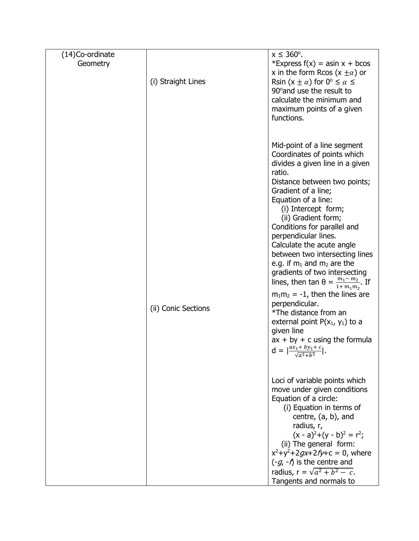| (14)Co-ordinate |                     | $x \le 360^{\circ}$ .                                                                                                                                                                                                                                                                                                                                                                                                                                                                                                                                                                                                                                                                                                                                                     |
|-----------------|---------------------|---------------------------------------------------------------------------------------------------------------------------------------------------------------------------------------------------------------------------------------------------------------------------------------------------------------------------------------------------------------------------------------------------------------------------------------------------------------------------------------------------------------------------------------------------------------------------------------------------------------------------------------------------------------------------------------------------------------------------------------------------------------------------|
| Geometry        | (i) Straight Lines  | *Express $f(x) =$ asin x + bcos<br>x in the form Rcos $(x \pm \alpha)$ or<br>Rsin $(x \pm \alpha)$ for $0^{\circ} \leq \alpha \leq$<br>90° and use the result to<br>calculate the minimum and<br>maximum points of a given<br>functions.                                                                                                                                                                                                                                                                                                                                                                                                                                                                                                                                  |
|                 | (ii) Conic Sections | Mid-point of a line segment<br>Coordinates of points which<br>divides a given line in a given<br>ratio.<br>Distance between two points;<br>Gradient of a line;<br>Equation of a line:<br>(i) Intercept form;<br>(ii) Gradient form;<br>Conditions for parallel and<br>perpendicular lines.<br>Calculate the acute angle<br>between two intersecting lines<br>e.g. if $m_1$ and $m_2$ are the<br>gradients of two intersecting<br>lines, then $\tan \theta = \frac{m_1 - m_2}{1 + m_1 m_2}$ . If<br>$m_1m_2 = -1$ , then the lines are<br>perpendicular.<br>*The distance from an<br>external point $P(x_1, y_1)$ to a<br>given line<br>$ax + by + c$ using the formula<br>$d = \left  \frac{ax_1 + by_1 + c}{\sqrt{a^2 + b^2}} \right .$<br>Loci of variable points which |
|                 |                     | move under given conditions<br>Equation of a circle:<br>(i) Equation in terms of<br>centre, $(a, b)$ , and<br>radius, r,<br>$(x - a)^{2}+(y - b)^{2} = r^{2}$ ;<br>(ii) The general form:<br>$x^2+y^2+2gx+2fy+c=0$ , where<br>$(-g, -f)$ is the centre and<br>radius, $r = \sqrt{a^2 + b^2 - c}$ .<br>Tangents and normals to                                                                                                                                                                                                                                                                                                                                                                                                                                             |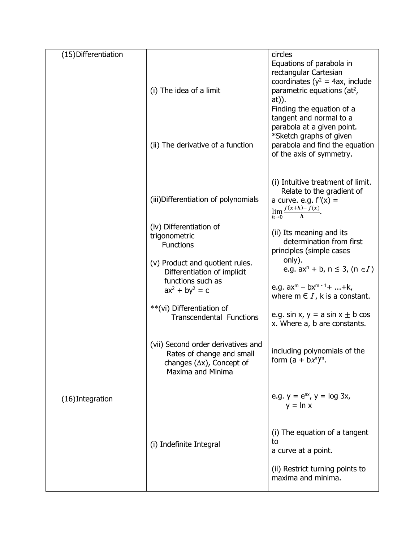| (15) Differentiation |                                                                                                                                  | circles<br>Equations of parabola in                                                                                                                                                                                                                                                            |
|----------------------|----------------------------------------------------------------------------------------------------------------------------------|------------------------------------------------------------------------------------------------------------------------------------------------------------------------------------------------------------------------------------------------------------------------------------------------|
|                      | (i) The idea of a limit<br>(ii) The derivative of a function                                                                     | rectangular Cartesian<br>coordinates ( $y^2$ = 4ax, include<br>parametric equations (at <sup>2</sup> ,<br>at)).<br>Finding the equation of a<br>tangent and normal to a<br>parabola at a given point.<br>*Sketch graphs of given<br>parabola and find the equation<br>of the axis of symmetry. |
|                      | (iii) Differentiation of polynomials                                                                                             | (i) Intuitive treatment of limit.<br>Relate to the gradient of<br>a curve. e.g. $f'(x) =$<br>$\lim_{h\to 0}\frac{f(x+h)-f(x)}{h}$ .                                                                                                                                                            |
|                      | (iv) Differentiation of<br>trigonometric<br><b>Functions</b><br>(v) Product and quotient rules.                                  | (ii) Its meaning and its<br>determination from first<br>principles (simple cases<br>only).                                                                                                                                                                                                     |
|                      | Differentiation of implicit<br>functions such as<br>$ax^{2} + by^{2} = c$                                                        | e.g. $ax^{n} + b$ , $n \le 3$ , $(n \in I)$<br>e.g. $ax^m - bx^{m-1} +  + k$ ,<br>where $m \in I$ , k is a constant.                                                                                                                                                                           |
|                      | **(vi) Differentiation of<br><b>Transcendental Functions</b>                                                                     | e.g. sin x, $y = a \sin x \pm b \cos x$<br>x. Where a, b are constants.                                                                                                                                                                                                                        |
|                      | (vii) Second order derivatives and<br>Rates of change and small<br>changes $(\Delta x)$ , Concept of<br><b>Maxima and Minima</b> | including polynomials of the<br>form $(a + bx^n)^m$ .                                                                                                                                                                                                                                          |
| (16) Integration     |                                                                                                                                  | e.g. $y = e^{ax}$ , $y = log 3x$ ,<br>$y = \ln x$                                                                                                                                                                                                                                              |
|                      | (i) Indefinite Integral                                                                                                          | (i) The equation of a tangent<br>to<br>a curve at a point.                                                                                                                                                                                                                                     |
|                      |                                                                                                                                  | (ii) Restrict turning points to<br>maxima and minima.                                                                                                                                                                                                                                          |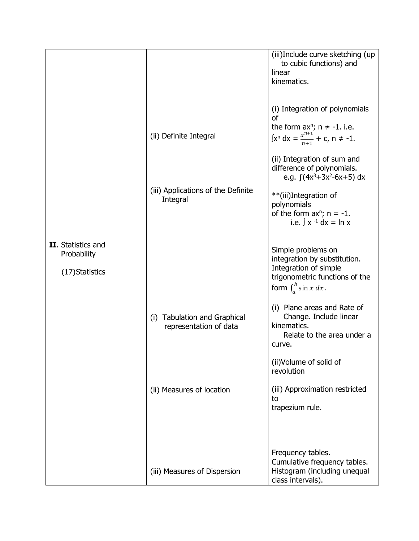|                                   |                                                                          | (iii)Include curve sketching (up<br>to cubic functions) and<br>linear<br>kinematics.                                                                                                                                                                                                                                |
|-----------------------------------|--------------------------------------------------------------------------|---------------------------------------------------------------------------------------------------------------------------------------------------------------------------------------------------------------------------------------------------------------------------------------------------------------------|
|                                   | (ii) Definite Integral<br>(iii) Applications of the Definite<br>Integral | (i) Integration of polynomials<br><sub>of</sub><br>the form $ax^n$ ; $n \ne -1$ . i.e.<br>$\int x^n dx = \frac{x^{n+1}}{n+1} + c, n \neq -1.$<br>(ii) Integration of sum and<br>difference of polynomials.<br>e.g. $(4x^3+3x^2-6x+5) dx$<br>**(iii)Integration of<br>polynomials<br>of the form $ax^n$ ; $n = -1$ . |
| II. Statistics and<br>Probability |                                                                          | i.e. $\int x^{-1} dx = \ln x$<br>Simple problems on<br>integration by substitution.<br>Integration of simple                                                                                                                                                                                                        |
| (17) Statistics                   | (i) Tabulation and Graphical                                             | trigonometric functions of the<br>form $\int_a^b \sin x \, dx$ .<br>(i) Plane areas and Rate of<br>Change. Include linear                                                                                                                                                                                           |
|                                   | representation of data                                                   | kinematics.<br>Relate to the area under a<br>curve.<br>(ii) Volume of solid of<br>revolution                                                                                                                                                                                                                        |
|                                   | (ii) Measures of location                                                | (iii) Approximation restricted<br>to<br>trapezium rule.                                                                                                                                                                                                                                                             |
|                                   | (iii) Measures of Dispersion                                             | Frequency tables.<br>Cumulative frequency tables.<br>Histogram (including unequal<br>class intervals).                                                                                                                                                                                                              |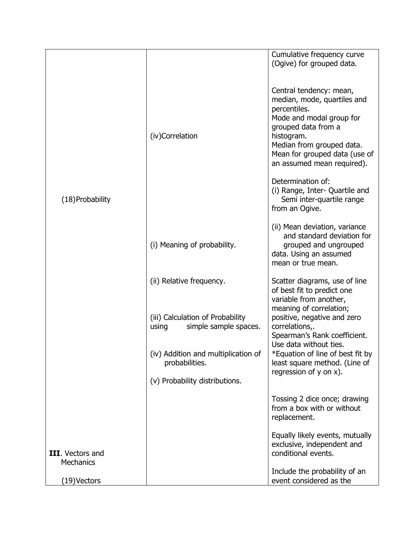|                                             |                                                                                         | Cumulative frequency curve<br>(Ogive) for grouped data.                                                                                                                                                                             |
|---------------------------------------------|-----------------------------------------------------------------------------------------|-------------------------------------------------------------------------------------------------------------------------------------------------------------------------------------------------------------------------------------|
|                                             | (iv)Correlation                                                                         | Central tendency: mean,<br>median, mode, quartiles and<br>percentiles.<br>Mode and modal group for<br>grouped data from a<br>histogram.<br>Median from grouped data.<br>Mean for grouped data (use of<br>an assumed mean required). |
| (18) Probability                            |                                                                                         | Determination of:<br>(i) Range, Inter- Quartile and<br>Semi inter-quartile range<br>from an Ogive.                                                                                                                                  |
|                                             | (i) Meaning of probability.                                                             | (ii) Mean deviation, variance<br>and standard deviation for<br>grouped and ungrouped<br>data. Using an assumed<br>mean or true mean.                                                                                                |
|                                             | (ii) Relative frequency.                                                                | Scatter diagrams, use of line<br>of best fit to predict one<br>variable from another,<br>meaning of correlation;                                                                                                                    |
|                                             | (iii) Calculation of Probability<br>simple sample spaces.<br>using                      | positive, negative and zero<br>correlations,.<br>Spearman's Rank coefficient.<br>Use data without ties.                                                                                                                             |
|                                             | (iv) Addition and multiplication of<br>probabilities.<br>(v) Probability distributions. | *Equation of line of best fit by<br>least square method. (Line of<br>regression of $y$ on $x$ ).                                                                                                                                    |
|                                             |                                                                                         | Tossing 2 dice once; drawing<br>from a box with or without<br>replacement.                                                                                                                                                          |
| <b>III.</b> Vectors and<br><b>Mechanics</b> |                                                                                         | Equally likely events, mutually<br>exclusive, independent and<br>conditional events.                                                                                                                                                |
| (19)Vectors                                 |                                                                                         | Include the probability of an<br>event considered as the                                                                                                                                                                            |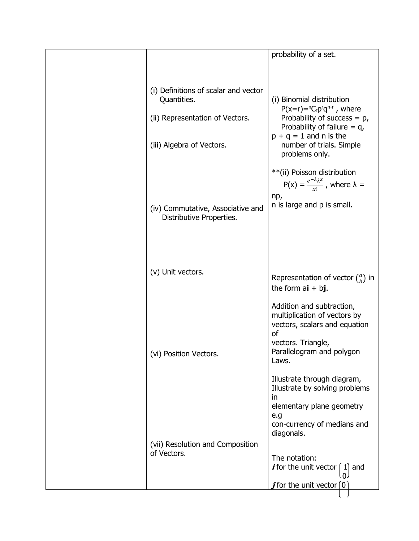|                                                                                        | probability of a set.                                                                                                                                                                           |
|----------------------------------------------------------------------------------------|-------------------------------------------------------------------------------------------------------------------------------------------------------------------------------------------------|
|                                                                                        |                                                                                                                                                                                                 |
| (i) Definitions of scalar and vector<br>Quantities.<br>(ii) Representation of Vectors. | (i) Binomial distribution<br>$P(x=r)=nC_r p^r q^{n-r}$ , where<br>Probability of success $= p$ ,<br>Probability of failure $= q$<br>$p + q = 1$ and n is the                                    |
| (iii) Algebra of Vectors.                                                              | number of trials. Simple<br>problems only.                                                                                                                                                      |
|                                                                                        | **(ii) Poisson distribution<br>$P(x) = \frac{e^{-\lambda} \lambda^x}{x!}$ , where $\lambda =$<br>np,                                                                                            |
| (iv) Commutative, Associative and<br>Distributive Properties.                          | n is large and p is small.                                                                                                                                                                      |
| (v) Unit vectors.                                                                      | Representation of vector $\binom{a}{b}$ in                                                                                                                                                      |
| (vi) Position Vectors.                                                                 | the form $ai + bj$ .<br>Addition and subtraction,<br>multiplication of vectors by<br>vectors, scalars and equation<br><sub>of</sub><br>vectors. Triangle,<br>Parallelogram and polygon<br>Laws. |
|                                                                                        | Illustrate through diagram,<br>Illustrate by solving problems<br>in.<br>elementary plane geometry<br>e.g                                                                                        |
| (vii) Resolution and Composition<br>of Vectors.                                        | con-currency of medians and<br>diagonals.<br>The notation:                                                                                                                                      |
|                                                                                        | <i>i</i> for the unit vector<br>and<br>11<br>. () ،<br>$\bm{j}$ for the unit vector [0]                                                                                                         |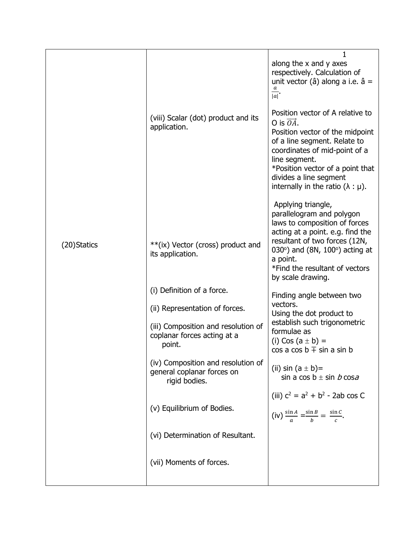|              | (viii) Scalar (dot) product and its<br>application.                               | 1<br>along the x and y axes<br>respectively. Calculation of<br>unit vector (â) along a i.e. $\hat{a}$ =<br>$ \overline{a} $<br>Position vector of A relative to                                                                                                                  |
|--------------|-----------------------------------------------------------------------------------|----------------------------------------------------------------------------------------------------------------------------------------------------------------------------------------------------------------------------------------------------------------------------------|
|              |                                                                                   | O is $\overrightarrow{OA}$ .<br>Position vector of the midpoint<br>of a line segment. Relate to<br>coordinates of mid-point of a<br>line segment.<br>*Position vector of a point that<br>divides a line segment<br>internally in the ratio $(\lambda : \mu)$ .                   |
| (20) Statics | ** (ix) Vector (cross) product and<br>its application.                            | Applying triangle,<br>parallelogram and polygon<br>laws to composition of forces<br>acting at a point. e.g. find the<br>resultant of two forces (12N,<br>030 $^{\circ}$ ) and (8N, 100 $^{\circ}$ ) acting at<br>a point.<br>*Find the resultant of vectors<br>by scale drawing. |
|              | (i) Definition of a force.<br>(ii) Representation of forces.                      | Finding angle between two<br>vectors.                                                                                                                                                                                                                                            |
|              | (iii) Composition and resolution of<br>coplanar forces acting at a<br>point.      | Using the dot product to<br>establish such trigonometric<br>formulae as<br>(i) Cos $(a \pm b) =$<br>$\cos a \cos b \pm \sin a \sin b$                                                                                                                                            |
|              | (iv) Composition and resolution of<br>general coplanar forces on<br>rigid bodies. | (ii) sin $(a \pm b)$ =<br>sin a cos $b \pm \sin b \cos a$                                                                                                                                                                                                                        |
|              | (v) Equilibrium of Bodies.                                                        | (iii) $c^2 = a^2 + b^2 - 2ab \cos C$<br>(iv) $\frac{\sin A}{a} = \frac{\sin B}{b} = \frac{\sin C}{c}$ .                                                                                                                                                                          |
|              | (vi) Determination of Resultant.                                                  |                                                                                                                                                                                                                                                                                  |
|              | (vii) Moments of forces.                                                          |                                                                                                                                                                                                                                                                                  |
|              |                                                                                   |                                                                                                                                                                                                                                                                                  |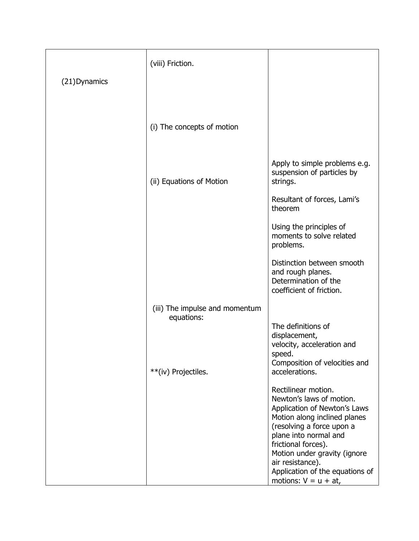|               | (viii) Friction.                             |                                                                                                                                |
|---------------|----------------------------------------------|--------------------------------------------------------------------------------------------------------------------------------|
| (21) Dynamics |                                              |                                                                                                                                |
|               |                                              |                                                                                                                                |
|               | (i) The concepts of motion                   |                                                                                                                                |
|               |                                              |                                                                                                                                |
|               | (ii) Equations of Motion                     | Apply to simple problems e.g.<br>suspension of particles by<br>strings.                                                        |
|               |                                              | Resultant of forces, Lami's<br>theorem                                                                                         |
|               |                                              | Using the principles of<br>moments to solve related<br>problems.                                                               |
|               |                                              | Distinction between smooth<br>and rough planes.<br>Determination of the<br>coefficient of friction.                            |
|               | (iii) The impulse and momentum<br>equations: |                                                                                                                                |
|               | **(iv) Projectiles.                          | The definitions of<br>displacement,<br>velocity, acceleration and<br>speed.<br>Composition of velocities and<br>accelerations. |
|               |                                              | Rectilinear motion.                                                                                                            |
|               |                                              | Newton's laws of motion.<br>Application of Newton's Laws<br>Motion along inclined planes                                       |
|               |                                              | (resolving a force upon a<br>plane into normal and<br>frictional forces).                                                      |
|               |                                              | Motion under gravity (ignore<br>air resistance).<br>Application of the equations of<br>motions: $V = u + at$ ,                 |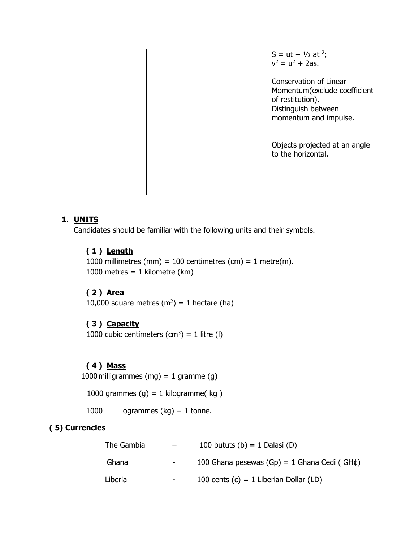|  | S = ut + $\frac{1}{2}$ at <sup>2</sup> ;<br>$v^2 = u^2 + 2as$ .                                                            |
|--|----------------------------------------------------------------------------------------------------------------------------|
|  | Conservation of Linear<br>Momentum(exclude coefficient<br>of restitution).<br>Distinguish between<br>momentum and impulse. |
|  | Objects projected at an angle<br>to the horizontal.                                                                        |
|  |                                                                                                                            |

## **1. UNITS**

Candidates should be familiar with the following units and their symbols.

## **( 1 ) Length**

1000 millimetres (mm) = 100 centimetres (cm) = 1 metre(m). 1000 metres =  $1$  kilometre (km)

### **( 2 ) Area**

10,000 square metres  $(m^2) = 1$  hectare (ha)

# **( 3 ) Capacity**

1000 cubic centimeters  $(cm^3) = 1$  litre (I)

## **( 4 ) Mass**

1000 milligrammes (mg) = 1 gramme (g)

1000 grammes  $(g) = 1$  kilogramme(kg)

1000 ogrammes  $(kg) = 1$  tonne.

# **( 5) Currencies**

| The Gambia | $-$    | 100 bututs (b) = 1 Dalasi (D)                        |
|------------|--------|------------------------------------------------------|
| Ghana      | $\sim$ | 100 Ghana pesewas $(Gp) = 1$ Ghana Cedi (GH $\phi$ ) |
| Liberia    | $\sim$ | 100 cents $(c) = 1$ Liberian Dollar (LD)             |